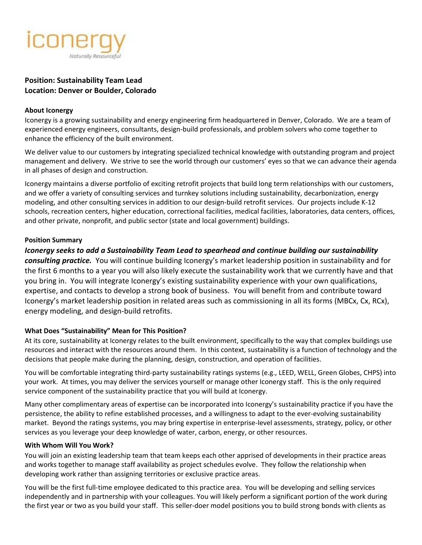

# **Position: Sustainability Team Lead Location: Denver or Boulder, Colorado**

#### **About Iconergy**

Iconergy is a growing sustainability and energy engineering firm headquartered in Denver, Colorado. We are a team of experienced energy engineers, consultants, design-build professionals, and problem solvers who come together to enhance the efficiency of the built environment.

We deliver value to our customers by integrating specialized technical knowledge with outstanding program and project management and delivery. We strive to see the world through our customers' eyes so that we can advance their agenda in all phases of design and construction.

Iconergy maintains a diverse portfolio of exciting retrofit projects that build long term relationships with our customers, and we offer a variety of consulting services and turnkey solutions including sustainability, decarbonization, energy modeling, and other consulting services in addition to our design-build retrofit services. Our projects include K-12 schools, recreation centers, higher education, correctional facilities, medical facilities, laboratories, data centers, offices, and other private, nonprofit, and public sector (state and local government) buildings.

### **Position Summary**

*Iconergy seeks to add a Sustainability Team Lead to spearhead and continue building our sustainability consulting practice.* You will continue building Iconergy's market leadership position in sustainability and for the first 6 months to a year you will also likely execute the sustainability work that we currently have and that you bring in. You will integrate Iconergy's existing sustainability experience with your own qualifications, expertise, and contacts to develop a strong book of business. You will benefit from and contribute toward Iconergy's market leadership position in related areas such as commissioning in all its forms (MBCx, Cx, RCx), energy modeling, and design-build retrofits.

## **What Does "Sustainability" Mean for This Position?**

At its core, sustainability at Iconergy relates to the built environment, specifically to the way that complex buildings use resources and interact with the resources around them. In this context, sustainability is a function of technology and the decisions that people make during the planning, design, construction, and operation of facilities.

You will be comfortable integrating third-party sustainability ratings systems (e.g., LEED, WELL, Green Globes, CHPS) into your work. At times, you may deliver the services yourself or manage other Iconergy staff. This is the only required service component of the sustainability practice that you will build at Iconergy.

Many other complimentary areas of expertise can be incorporated into Iconergy's sustainability practice if you have the persistence, the ability to refine established processes, and a willingness to adapt to the ever-evolving sustainability market. Beyond the ratings systems, you may bring expertise in enterprise-level assessments, strategy, policy, or other services as you leverage your deep knowledge of water, carbon, energy, or other resources.

#### **With Whom Will You Work?**

You will join an existing leadership team that team keeps each other apprised of developments in their practice areas and works together to manage staff availability as project schedules evolve. They follow the relationship when developing work rather than assigning territories or exclusive practice areas.

You will be the first full-time employee dedicated to this practice area. You will be developing and selling services independently and in partnership with your colleagues. You will likely perform a significant portion of the work during the first year or two as you build your staff. This seller-doer model positions you to build strong bonds with clients as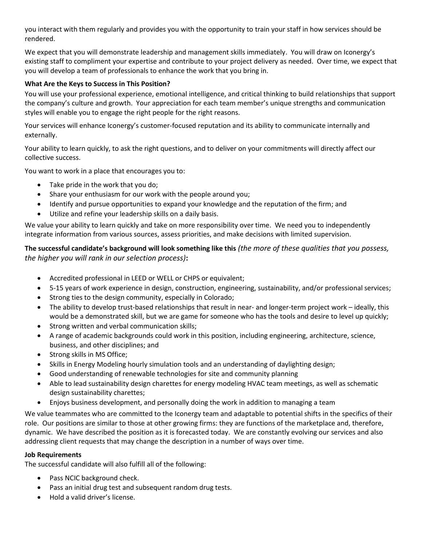you interact with them regularly and provides you with the opportunity to train your staff in how services should be rendered.

We expect that you will demonstrate leadership and management skills immediately. You will draw on Iconergy's existing staff to compliment your expertise and contribute to your project delivery as needed. Over time, we expect that you will develop a team of professionals to enhance the work that you bring in.

### **What Are the Keys to Success in This Position?**

You will use your professional experience, emotional intelligence, and critical thinking to build relationships that support the company's culture and growth. Your appreciation for each team member's unique strengths and communication styles will enable you to engage the right people for the right reasons.

Your services will enhance Iconergy's customer-focused reputation and its ability to communicate internally and externally.

Your ability to learn quickly, to ask the right questions, and to deliver on your commitments will directly affect our collective success.

You want to work in a place that encourages you to:

- Take pride in the work that you do;
- Share your enthusiasm for our work with the people around you;
- Identify and pursue opportunities to expand your knowledge and the reputation of the firm; and
- Utilize and refine your leadership skills on a daily basis.

We value your ability to learn quickly and take on more responsibility over time. We need you to independently integrate information from various sources, assess priorities, and make decisions with limited supervision.

**The successful candidate's background will look something like this** *(the more of these qualities that you possess, the higher you will rank in our selection process)***:**

- Accredited professional in LEED or WELL or CHPS or equivalent;
- 5-15 years of work experience in design, construction, engineering, sustainability, and/or professional services;
- Strong ties to the design community, especially in Colorado;
- The ability to develop trust-based relationships that result in near- and longer-term project work ideally, this would be a demonstrated skill, but we are game for someone who has the tools and desire to level up quickly;
- Strong written and verbal communication skills;
- A range of academic backgrounds could work in this position, including engineering, architecture, science, business, and other disciplines; and
- Strong skills in MS Office;
- Skills in Energy Modeling hourly simulation tools and an understanding of daylighting design;
- Good understanding of renewable technologies for site and community planning
- Able to lead sustainability design charettes for energy modeling HVAC team meetings, as well as schematic design sustainability charettes;
- Enjoys business development, and personally doing the work in addition to managing a team

We value teammates who are committed to the Iconergy team and adaptable to potential shifts in the specifics of their role. Our positions are similar to those at other growing firms: they are functions of the marketplace and, therefore, dynamic. We have described the position as it is forecasted today. We are constantly evolving our services and also addressing client requests that may change the description in a number of ways over time.

#### **Job Requirements**

The successful candidate will also fulfill all of the following:

- Pass NCIC background check.
- Pass an initial drug test and subsequent random drug tests.
- Hold a valid driver's license.